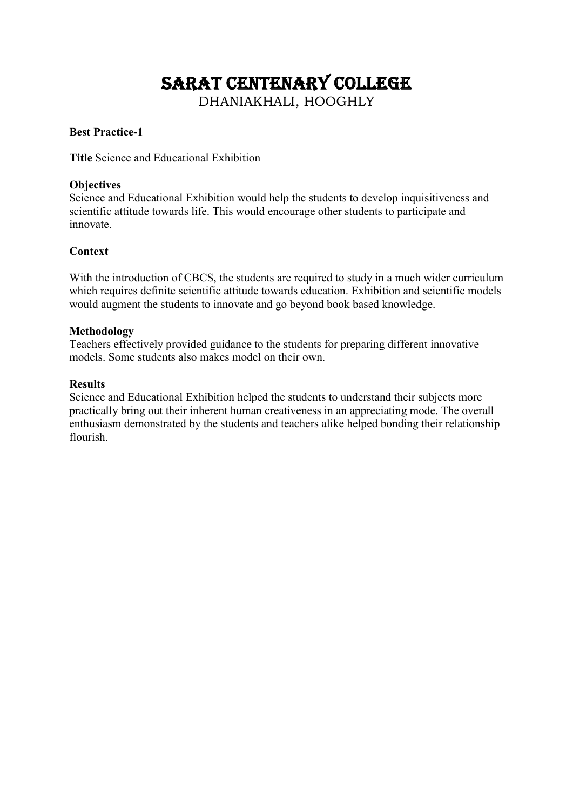# SARAT CENTENARY COLLEGE

DHANIAKHALI, HOOGHLY

# **Best Practice-1**

**Title** Science and Educational Exhibition

# **Objectives**

Science and Educational Exhibition would help the students to develop inquisitiveness and scientific attitude towards life. This would encourage other students to participate and innovate.

# **Context**

With the introduction of CBCS, the students are required to study in a much wider curriculum which requires definite scientific attitude towards education. Exhibition and scientific models would augment the students to innovate and go beyond book based knowledge.

### **Methodology**

Teachers effectively provided guidance to the students for preparing different innovative models. Some students also makes model on their own.

### **Results**

Science and Educational Exhibition helped the students to understand their subjects more practically bring out their inherent human creativeness in an appreciating mode. The overall enthusiasm demonstrated by the students and teachers alike helped bonding their relationship flourish.